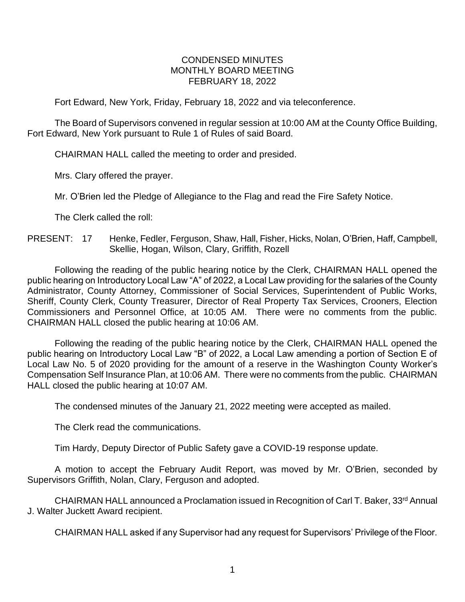## CONDENSED MINUTES MONTHLY BOARD MEETING FEBRUARY 18, 2022

Fort Edward, New York, Friday, February 18, 2022 and via teleconference.

The Board of Supervisors convened in regular session at 10:00 AM at the County Office Building, Fort Edward, New York pursuant to Rule 1 of Rules of said Board.

CHAIRMAN HALL called the meeting to order and presided.

Mrs. Clary offered the prayer.

Mr. O'Brien led the Pledge of Allegiance to the Flag and read the Fire Safety Notice.

The Clerk called the roll:

PRESENT: 17 Henke, Fedler, Ferguson, Shaw, Hall, Fisher, Hicks, Nolan, O'Brien, Haff, Campbell, Skellie, Hogan, Wilson, Clary, Griffith, Rozell

Following the reading of the public hearing notice by the Clerk, CHAIRMAN HALL opened the public hearing on Introductory Local Law "A" of 2022, a Local Law providing for the salaries of the County Administrator, County Attorney, Commissioner of Social Services, Superintendent of Public Works, Sheriff, County Clerk, County Treasurer, Director of Real Property Tax Services, Crooners, Election Commissioners and Personnel Office, at 10:05 AM. There were no comments from the public. CHAIRMAN HALL closed the public hearing at 10:06 AM.

Following the reading of the public hearing notice by the Clerk, CHAIRMAN HALL opened the public hearing on Introductory Local Law "B" of 2022, a Local Law amending a portion of Section E of Local Law No. 5 of 2020 providing for the amount of a reserve in the Washington County Worker's Compensation Self Insurance Plan, at 10:06 AM. There were no comments from the public. CHAIRMAN HALL closed the public hearing at 10:07 AM.

The condensed minutes of the January 21, 2022 meeting were accepted as mailed.

The Clerk read the communications.

Tim Hardy, Deputy Director of Public Safety gave a COVID-19 response update.

A motion to accept the February Audit Report, was moved by Mr. O'Brien, seconded by Supervisors Griffith, Nolan, Clary, Ferguson and adopted.

CHAIRMAN HALL announced a Proclamation issued in Recognition of Carl T. Baker, 33<sup>rd</sup> Annual J. Walter Juckett Award recipient.

CHAIRMAN HALL asked if any Supervisor had any request for Supervisors' Privilege of the Floor.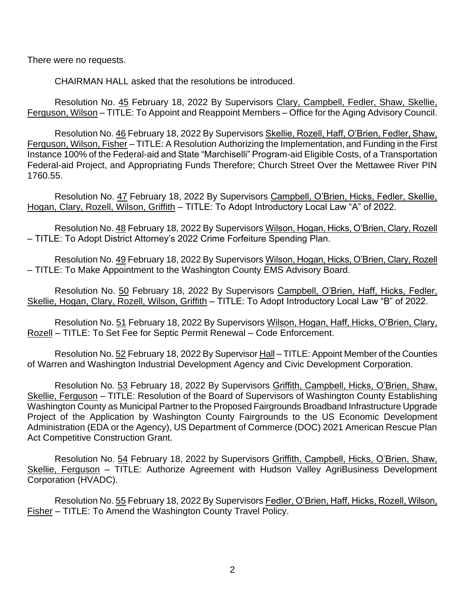There were no requests.

CHAIRMAN HALL asked that the resolutions be introduced.

Resolution No. 45 February 18, 2022 By Supervisors Clary, Campbell, Fedler, Shaw, Skellie, Ferguson, Wilson – TITLE: To Appoint and Reappoint Members – Office for the Aging Advisory Council.

Resolution No. 46 February 18, 2022 By Supervisors Skellie, Rozell, Haff, O'Brien, Fedler, Shaw, Ferguson, Wilson, Fisher – TITLE: A Resolution Authorizing the Implementation, and Funding in the First Instance 100% of the Federal-aid and State "Marchiselli" Program-aid Eligible Costs, of a Transportation Federal-aid Project, and Appropriating Funds Therefore; Church Street Over the Mettawee River PIN 1760.55.

Resolution No. 47 February 18, 2022 By Supervisors Campbell, O'Brien, Hicks, Fedler, Skellie, Hogan, Clary, Rozell, Wilson, Griffith – TITLE: To Adopt Introductory Local Law "A" of 2022.

Resolution No. 48 February 18, 2022 By Supervisors Wilson, Hogan, Hicks, O'Brien, Clary, Rozell – TITLE: To Adopt District Attorney's 2022 Crime Forfeiture Spending Plan.

Resolution No. 49 February 18, 2022 By Supervisors Wilson, Hogan, Hicks, O'Brien, Clary, Rozell – TITLE: To Make Appointment to the Washington County EMS Advisory Board.

Resolution No. 50 February 18, 2022 By Supervisors Campbell, O'Brien, Haff, Hicks, Fedler, Skellie, Hogan, Clary, Rozell, Wilson, Griffith – TITLE: To Adopt Introductory Local Law "B" of 2022.

Resolution No. 51 February 18, 2022 By Supervisors Wilson, Hogan, Haff, Hicks, O'Brien, Clary, Rozell – TITLE: To Set Fee for Septic Permit Renewal – Code Enforcement.

Resolution No. 52 February 18, 2022 By Supervisor Hall – TITLE: Appoint Member of the Counties of Warren and Washington Industrial Development Agency and Civic Development Corporation.

Resolution No. 53 February 18, 2022 By Supervisors Griffith, Campbell, Hicks, O'Brien, Shaw, Skellie, Ferguson – TITLE: Resolution of the Board of Supervisors of Washington County Establishing Washington County as Municipal Partner to the Proposed Fairgrounds Broadband Infrastructure Upgrade Project of the Application by Washington County Fairgrounds to the US Economic Development Administration (EDA or the Agency), US Department of Commerce (DOC) 2021 American Rescue Plan Act Competitive Construction Grant.

Resolution No. 54 February 18, 2022 by Supervisors Griffith, Campbell, Hicks, O'Brien, Shaw, Skellie, Ferguson – TITLE: Authorize Agreement with Hudson Valley AgriBusiness Development Corporation (HVADC).

Resolution No. 55 February 18, 2022 By Supervisors Fedler, O'Brien, Haff, Hicks, Rozell, Wilson, Fisher – TITLE: To Amend the Washington County Travel Policy.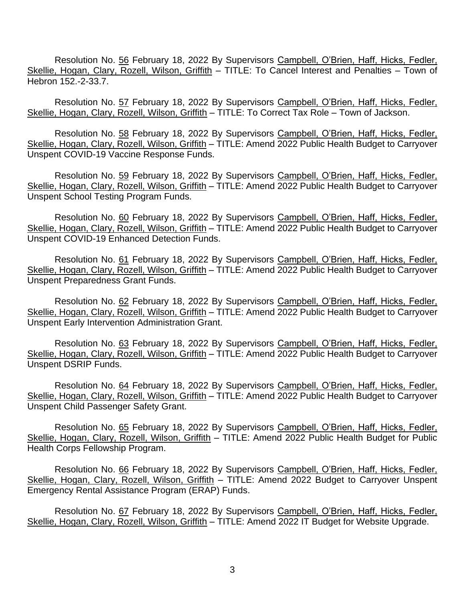Resolution No. 56 February 18, 2022 By Supervisors Campbell, O'Brien, Haff, Hicks, Fedler, Skellie. Hogan, Clary, Rozell, Wilson, Griffith – TITLE: To Cancel Interest and Penalties – Town of Hebron 152.-2-33.7.

Resolution No. 57 February 18, 2022 By Supervisors Campbell, O'Brien, Haff, Hicks, Fedler, Skellie, Hogan, Clary, Rozell, Wilson, Griffith - TITLE: To Correct Tax Role - Town of Jackson.

Resolution No. 58 February 18, 2022 By Supervisors Campbell, O'Brien, Haff, Hicks, Fedler, Skellie, Hogan, Clary, Rozell, Wilson, Griffith – TITLE: Amend 2022 Public Health Budget to Carryover Unspent COVID-19 Vaccine Response Funds.

Resolution No. 59 February 18, 2022 By Supervisors Campbell, O'Brien, Haff, Hicks, Fedler, Skellie, Hogan, Clary, Rozell, Wilson, Griffith – TITLE: Amend 2022 Public Health Budget to Carryover Unspent School Testing Program Funds.

Resolution No. 60 February 18, 2022 By Supervisors Campbell, O'Brien, Haff, Hicks, Fedler, Skellie, Hogan, Clary, Rozell, Wilson, Griffith – TITLE: Amend 2022 Public Health Budget to Carryover Unspent COVID-19 Enhanced Detection Funds.

Resolution No. 61 February 18, 2022 By Supervisors Campbell, O'Brien, Haff, Hicks, Fedler, Skellie, Hogan, Clary, Rozell, Wilson, Griffith - TITLE: Amend 2022 Public Health Budget to Carryover Unspent Preparedness Grant Funds.

Resolution No. 62 February 18, 2022 By Supervisors Campbell, O'Brien, Haff, Hicks, Fedler, Skellie, Hogan, Clary, Rozell, Wilson, Griffith – TITLE: Amend 2022 Public Health Budget to Carryover Unspent Early Intervention Administration Grant.

Resolution No. 63 February 18, 2022 By Supervisors Campbell, O'Brien, Haff, Hicks, Fedler, Skellie, Hogan, Clary, Rozell, Wilson, Griffith – TITLE: Amend 2022 Public Health Budget to Carryover Unspent DSRIP Funds.

Resolution No. 64 February 18, 2022 By Supervisors Campbell, O'Brien, Haff, Hicks, Fedler, Skellie, Hogan, Clary, Rozell, Wilson, Griffith - TITLE: Amend 2022 Public Health Budget to Carryover Unspent Child Passenger Safety Grant.

Resolution No. 65 February 18, 2022 By Supervisors Campbell, O'Brien, Haff, Hicks, Fedler, Skellie, Hogan, Clary, Rozell, Wilson, Griffith - TITLE: Amend 2022 Public Health Budget for Public Health Corps Fellowship Program.

Resolution No. 66 February 18, 2022 By Supervisors Campbell, O'Brien, Haff, Hicks, Fedler, Skellie, Hogan, Clary, Rozell, Wilson, Griffith – TITLE: Amend 2022 Budget to Carryover Unspent Emergency Rental Assistance Program (ERAP) Funds.

Resolution No. 67 February 18, 2022 By Supervisors Campbell, O'Brien, Haff, Hicks, Fedler, Skellie, Hogan, Clary, Rozell, Wilson, Griffith – TITLE: Amend 2022 IT Budget for Website Upgrade.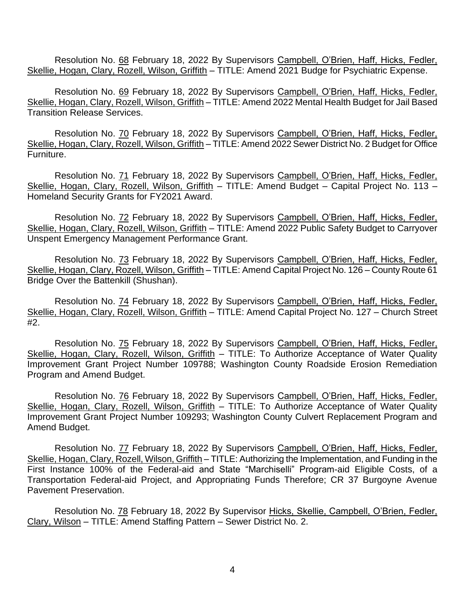Resolution No. 68 February 18, 2022 By Supervisors Campbell, O'Brien, Haff, Hicks, Fedler, Skellie, Hogan, Clary, Rozell, Wilson, Griffith – TITLE: Amend 2021 Budge for Psychiatric Expense.

Resolution No. 69 February 18, 2022 By Supervisors Campbell, O'Brien, Haff, Hicks, Fedler, Skellie, Hogan, Clary, Rozell, Wilson, Griffith – TITLE: Amend 2022 Mental Health Budget for Jail Based Transition Release Services.

Resolution No. 70 February 18, 2022 By Supervisors Campbell, O'Brien, Haff, Hicks, Fedler, Skellie, Hogan, Clary, Rozell, Wilson, Griffith – TITLE: Amend 2022 Sewer District No. 2 Budget for Office Furniture.

Resolution No. 71 February 18, 2022 By Supervisors Campbell, O'Brien, Haff, Hicks, Fedler, Skellie, Hogan, Clary, Rozell, Wilson, Griffith – TITLE: Amend Budget – Capital Project No. 113 – Homeland Security Grants for FY2021 Award.

Resolution No. 72 February 18, 2022 By Supervisors Campbell, O'Brien, Haff, Hicks, Fedler, Skellie, Hogan, Clary, Rozell, Wilson, Griffith - TITLE: Amend 2022 Public Safety Budget to Carryover Unspent Emergency Management Performance Grant.

Resolution No. 73 February 18, 2022 By Supervisors Campbell, O'Brien, Haff, Hicks, Fedler, Skellie, Hogan, Clary, Rozell, Wilson, Griffith – TITLE: Amend Capital Project No. 126 – County Route 61 Bridge Over the Battenkill (Shushan).

Resolution No. 74 February 18, 2022 By Supervisors Campbell, O'Brien, Haff, Hicks, Fedler, Skellie, Hogan, Clary, Rozell, Wilson, Griffith – TITLE: Amend Capital Project No. 127 – Church Street #2.

Resolution No. 75 February 18, 2022 By Supervisors Campbell, O'Brien, Haff, Hicks, Fedler, Skellie, Hogan, Clary, Rozell, Wilson, Griffith - TITLE: To Authorize Acceptance of Water Quality Improvement Grant Project Number 109788; Washington County Roadside Erosion Remediation Program and Amend Budget.

Resolution No. 76 February 18, 2022 By Supervisors Campbell, O'Brien, Haff, Hicks, Fedler, Skellie, Hogan, Clary, Rozell, Wilson, Griffith - TITLE: To Authorize Acceptance of Water Quality Improvement Grant Project Number 109293; Washington County Culvert Replacement Program and Amend Budget.

Resolution No. 77 February 18, 2022 By Supervisors Campbell, O'Brien, Haff, Hicks, Fedler, Skellie, Hogan, Clary, Rozell, Wilson, Griffith – TITLE: Authorizing the Implementation, and Funding in the First Instance 100% of the Federal-aid and State "Marchiselli" Program-aid Eligible Costs, of a Transportation Federal-aid Project, and Appropriating Funds Therefore; CR 37 Burgoyne Avenue Pavement Preservation.

Resolution No. 78 February 18, 2022 By Supervisor Hicks, Skellie, Campbell, O'Brien, Fedler, Clary, Wilson – TITLE: Amend Staffing Pattern – Sewer District No. 2.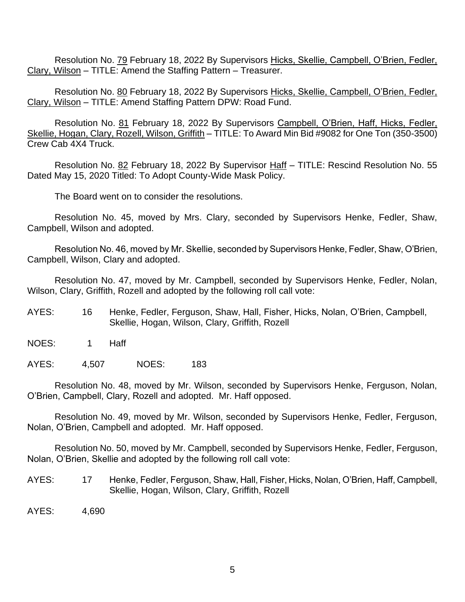Resolution No. 79 February 18, 2022 By Supervisors Hicks, Skellie, Campbell, O'Brien, Fedler, Clary, Wilson – TITLE: Amend the Staffing Pattern – Treasurer.

Resolution No. 80 February 18, 2022 By Supervisors Hicks, Skellie, Campbell, O'Brien, Fedler, Clary, Wilson – TITLE: Amend Staffing Pattern DPW: Road Fund.

Resolution No. 81 February 18, 2022 By Supervisors Campbell, O'Brien, Haff, Hicks, Fedler, Skellie, Hogan, Clary, Rozell, Wilson, Griffith – TITLE: To Award Min Bid #9082 for One Ton (350-3500) Crew Cab 4X4 Truck.

Resolution No. 82 February 18, 2022 By Supervisor Haff - TITLE: Rescind Resolution No. 55 Dated May 15, 2020 Titled: To Adopt County-Wide Mask Policy.

The Board went on to consider the resolutions.

Resolution No. 45, moved by Mrs. Clary, seconded by Supervisors Henke, Fedler, Shaw, Campbell, Wilson and adopted.

Resolution No. 46, moved by Mr. Skellie, seconded by Supervisors Henke, Fedler, Shaw, O'Brien, Campbell, Wilson, Clary and adopted.

Resolution No. 47, moved by Mr. Campbell, seconded by Supervisors Henke, Fedler, Nolan, Wilson, Clary, Griffith, Rozell and adopted by the following roll call vote:

AYES: 16 Henke, Fedler, Ferguson, Shaw, Hall, Fisher, Hicks, Nolan, O'Brien, Campbell, Skellie, Hogan, Wilson, Clary, Griffith, Rozell

NOES: 1 Haff

AYES: 4,507 NOES: 183

Resolution No. 48, moved by Mr. Wilson, seconded by Supervisors Henke, Ferguson, Nolan, O'Brien, Campbell, Clary, Rozell and adopted. Mr. Haff opposed.

Resolution No. 49, moved by Mr. Wilson, seconded by Supervisors Henke, Fedler, Ferguson, Nolan, O'Brien, Campbell and adopted. Mr. Haff opposed.

Resolution No. 50, moved by Mr. Campbell, seconded by Supervisors Henke, Fedler, Ferguson, Nolan, O'Brien, Skellie and adopted by the following roll call vote:

AYES: 17 Henke, Fedler, Ferguson, Shaw, Hall, Fisher, Hicks, Nolan, O'Brien, Haff, Campbell, Skellie, Hogan, Wilson, Clary, Griffith, Rozell

AYES: 4,690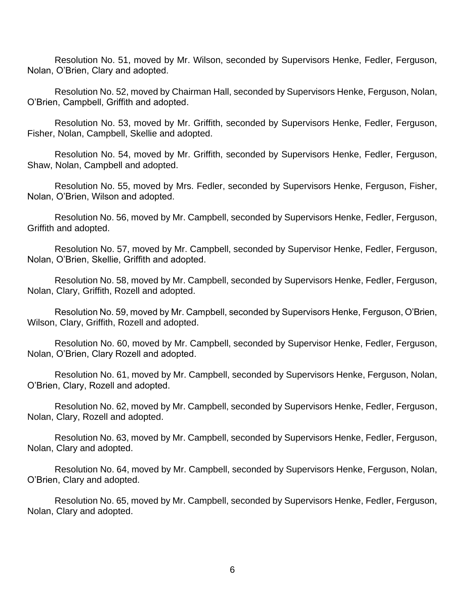Resolution No. 51, moved by Mr. Wilson, seconded by Supervisors Henke, Fedler, Ferguson, Nolan, O'Brien, Clary and adopted.

Resolution No. 52, moved by Chairman Hall, seconded by Supervisors Henke, Ferguson, Nolan, O'Brien, Campbell, Griffith and adopted.

Resolution No. 53, moved by Mr. Griffith, seconded by Supervisors Henke, Fedler, Ferguson, Fisher, Nolan, Campbell, Skellie and adopted.

Resolution No. 54, moved by Mr. Griffith, seconded by Supervisors Henke, Fedler, Ferguson, Shaw, Nolan, Campbell and adopted.

Resolution No. 55, moved by Mrs. Fedler, seconded by Supervisors Henke, Ferguson, Fisher, Nolan, O'Brien, Wilson and adopted.

Resolution No. 56, moved by Mr. Campbell, seconded by Supervisors Henke, Fedler, Ferguson, Griffith and adopted.

Resolution No. 57, moved by Mr. Campbell, seconded by Supervisor Henke, Fedler, Ferguson, Nolan, O'Brien, Skellie, Griffith and adopted.

Resolution No. 58, moved by Mr. Campbell, seconded by Supervisors Henke, Fedler, Ferguson, Nolan, Clary, Griffith, Rozell and adopted.

Resolution No. 59, moved by Mr. Campbell, seconded by Supervisors Henke, Ferguson, O'Brien, Wilson, Clary, Griffith, Rozell and adopted.

Resolution No. 60, moved by Mr. Campbell, seconded by Supervisor Henke, Fedler, Ferguson, Nolan, O'Brien, Clary Rozell and adopted.

Resolution No. 61, moved by Mr. Campbell, seconded by Supervisors Henke, Ferguson, Nolan, O'Brien, Clary, Rozell and adopted.

Resolution No. 62, moved by Mr. Campbell, seconded by Supervisors Henke, Fedler, Ferguson, Nolan, Clary, Rozell and adopted.

Resolution No. 63, moved by Mr. Campbell, seconded by Supervisors Henke, Fedler, Ferguson, Nolan, Clary and adopted.

Resolution No. 64, moved by Mr. Campbell, seconded by Supervisors Henke, Ferguson, Nolan, O'Brien, Clary and adopted.

Resolution No. 65, moved by Mr. Campbell, seconded by Supervisors Henke, Fedler, Ferguson, Nolan, Clary and adopted.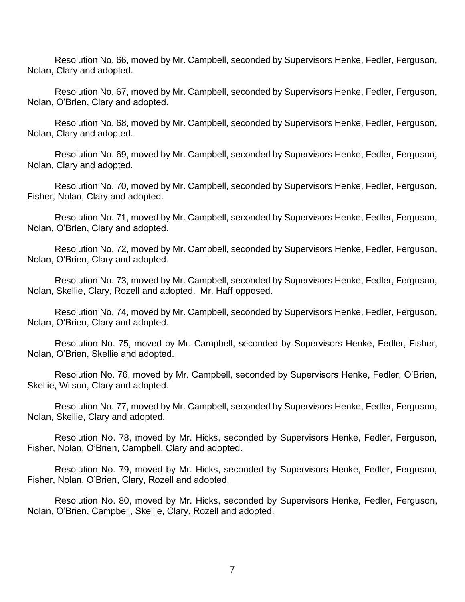Resolution No. 66, moved by Mr. Campbell, seconded by Supervisors Henke, Fedler, Ferguson, Nolan, Clary and adopted.

Resolution No. 67, moved by Mr. Campbell, seconded by Supervisors Henke, Fedler, Ferguson, Nolan, O'Brien, Clary and adopted.

Resolution No. 68, moved by Mr. Campbell, seconded by Supervisors Henke, Fedler, Ferguson, Nolan, Clary and adopted.

Resolution No. 69, moved by Mr. Campbell, seconded by Supervisors Henke, Fedler, Ferguson, Nolan, Clary and adopted.

Resolution No. 70, moved by Mr. Campbell, seconded by Supervisors Henke, Fedler, Ferguson, Fisher, Nolan, Clary and adopted.

Resolution No. 71, moved by Mr. Campbell, seconded by Supervisors Henke, Fedler, Ferguson, Nolan, O'Brien, Clary and adopted.

Resolution No. 72, moved by Mr. Campbell, seconded by Supervisors Henke, Fedler, Ferguson, Nolan, O'Brien, Clary and adopted.

Resolution No. 73, moved by Mr. Campbell, seconded by Supervisors Henke, Fedler, Ferguson, Nolan, Skellie, Clary, Rozell and adopted. Mr. Haff opposed.

Resolution No. 74, moved by Mr. Campbell, seconded by Supervisors Henke, Fedler, Ferguson, Nolan, O'Brien, Clary and adopted.

Resolution No. 75, moved by Mr. Campbell, seconded by Supervisors Henke, Fedler, Fisher, Nolan, O'Brien, Skellie and adopted.

Resolution No. 76, moved by Mr. Campbell, seconded by Supervisors Henke, Fedler, O'Brien, Skellie, Wilson, Clary and adopted.

Resolution No. 77, moved by Mr. Campbell, seconded by Supervisors Henke, Fedler, Ferguson, Nolan, Skellie, Clary and adopted.

Resolution No. 78, moved by Mr. Hicks, seconded by Supervisors Henke, Fedler, Ferguson, Fisher, Nolan, O'Brien, Campbell, Clary and adopted.

Resolution No. 79, moved by Mr. Hicks, seconded by Supervisors Henke, Fedler, Ferguson, Fisher, Nolan, O'Brien, Clary, Rozell and adopted.

Resolution No. 80, moved by Mr. Hicks, seconded by Supervisors Henke, Fedler, Ferguson, Nolan, O'Brien, Campbell, Skellie, Clary, Rozell and adopted.